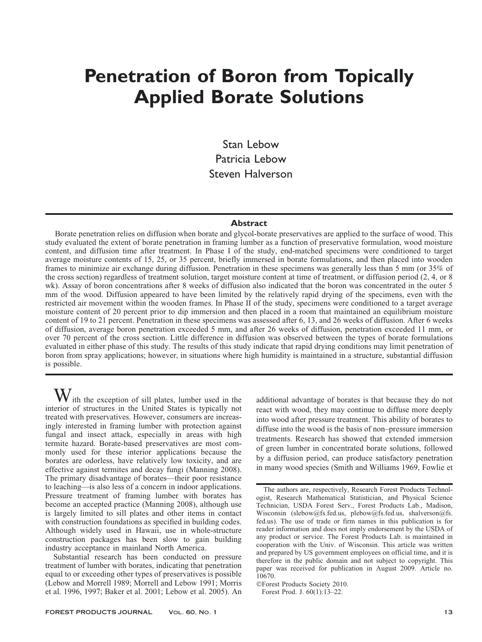# Penetration of Boron from Topically Applied Borate Solutions

Stan Lebow Patricia Lebow Steven Halverson

# Abstract

Borate penetration relies on diffusion when borate and glycol-borate preservatives are applied to the surface of wood. This study evaluated the extent of borate penetration in framing lumber as a function of preservative formulation, wood moisture content, and diffusion time after treatment. In Phase I of the study, end-matched specimens were conditioned to target average moisture contents of 15, 25, or 35 percent, briefly immersed in borate formulations, and then placed into wooden frames to minimize air exchange during diffusion. Penetration in these specimens was generally less than 5 mm (or 35% of the cross section) regardless of treatment solution, target moisture content at time of treatment, or diffusion period (2, 4, or 8 wk). Assay of boron concentrations after 8 weeks of diffusion also indicated that the boron was concentrated in the outer 5 mm of the wood. Diffusion appeared to have been limited by the relatively rapid drying of the specimens, even with the restricted air movement within the wooden frames. In Phase II of the study, specimens were conditioned to a target average moisture content of 20 percent prior to dip immersion and then placed in a room that maintained an equilibrium moisture content of 19 to 21 percent. Penetration in these specimens was assessed after 6, 13, and 26 weeks of diffusion. After 6 weeks of diffusion, average boron penetration exceeded 5 mm, and after 26 weeks of diffusion, penetration exceeded 11 mm, or over 70 percent of the cross section. Little difference in diffusion was observed between the types of borate formulations evaluated in either phase of this study. The results of this study indicate that rapid drying conditions may limit penetration of boron from spray applications; however, in situations where high humidity is maintained in a structure, substantial diffusion is possible.

ith the exception of sill plates, lumber used in the interior of structures in the United States is typically not treated with preservatives. However, consumers are increasingly interested in framing lumber with protection against fungal and insect attack, especially in areas with high termite hazard. Borate-based preservatives are most commonly used for these interior applications because the borates are odorless, have relatively low toxicity, and are effective against termites and decay fungi (Manning 2008). The primary disadvantage of borates—their poor resistance to leaching—is also less of a concern in indoor applications. Pressure treatment of framing lumber with borates has become an accepted practice (Manning 2008), although use is largely limited to sill plates and other items in contact with construction foundations as specified in building codes. Although widely used in Hawaii, use in whole-structure construction packages has been slow to gain building industry acceptance in mainland North America.

Substantial research has been conducted on pressure treatment of lumber with borates, indicating that penetration equal to or exceeding other types of preservatives is possible (Lebow and Morrell 1989; Morrell and Lebow 1991; Morris et al. 1996, 1997; Baker et al. 2001; Lebow et al. 2005). An additional advantage of borates is that because they do not react with wood, they may continue to diffuse more deeply into wood after pressure treatment. This ability of borates to diffuse into the wood is the basis of non–pressure immersion treatments. Research has showed that extended immersion of green lumber in concentrated borate solutions, followed by a diffusion period, can produce satisfactory penetration in many wood species (Smith and Williams 1969, Fowlie et

-Forest Products Society 2010.

Forest Prod. J. 60(1):13–22.

The authors are, respectively, Research Forest Products Technologist, Research Mathematical Statistician, and Physical Science Technician, USDA Forest Serv., Forest Products Lab., Madison, Wisconsin (slebow@fs.fed.us, plebow@fs.fed.us, shalverson@fs. fed.us). The use of trade or firm names in this publication is for reader information and does not imply endorsement by the USDA of any product or service. The Forest Products Lab. is maintained in cooperation with the Univ. of Wisconsin. This article was written and prepared by US government employees on official time, and it is therefore in the public domain and not subject to copyright. This paper was received for publication in August 2009. Article no. 10670.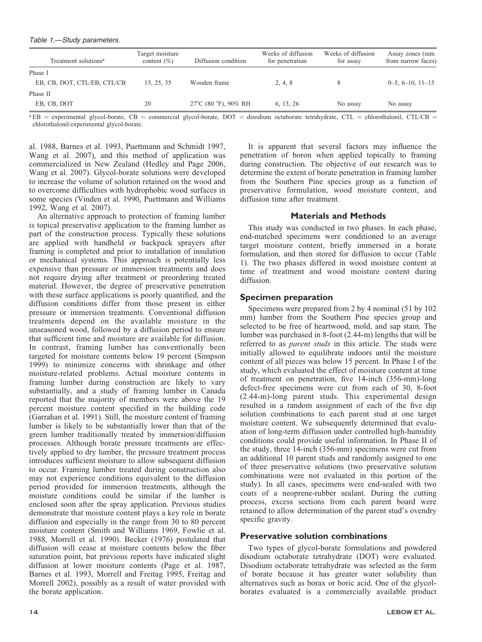#### Table 1.—Study parameters.

| Treatment solutions <sup>a</sup> | Target moisture<br>content $(\% )$ | Diffusion condition                      | Weeks of diffusion<br>for penetration | Weeks of diffusion<br>for assay | Assay zones (mm<br>from narrow faces) |
|----------------------------------|------------------------------------|------------------------------------------|---------------------------------------|---------------------------------|---------------------------------------|
| Phase I                          |                                    |                                          |                                       |                                 |                                       |
| EB, CB, DOT, CTL/EB, CTL/CB      | 15, 25, 35                         | Wooden frame                             | 2, 4, 8                               |                                 | $0-5, 6-10, 11-15$                    |
| Phase II                         |                                    |                                          |                                       |                                 |                                       |
| EB, CB, DOT                      | 20                                 | $27^{\circ}$ C (80 $^{\circ}$ F), 90% RH | 6, 13, 26                             | No assay                        | No assay                              |

 $a$  EB = experimental glycol-borate, CB = commercial glycol-borate, DOT = disodium octaborate tetrahydrate, CTL = chlorothalonil, CTL/CB = chlorothalonil/experimental glycol-borate.

al. 1988, Barnes et al. 1993, Puettmann and Schmidt 1997, Wang et al. 2007), and this method of application was commercialized in New Zealand (Hedley and Page 2006, Wang et al. 2007). Glycol-borate solutions were developed to increase the volume of solution retained on the wood and to overcome difficulties with hydrophobic wood surfaces in some species (Vinden et al. 1990, Puettmann and Williams 1992, Wang et al. 2007).

An alternative approach to protection of framing lumber is topical preservative application to the framing lumber as part of the construction process. Typically these solutions are applied with handheld or backpack sprayers after framing is completed and prior to installation of insulation or mechanical systems. This approach is potentially less expensive than pressure or immersion treatments and does not require drying after treatment or preordering treated material. However, the degree of preservative penetration with these surface applications is poorly quantified, and the diffusion conditions differ from those present in either pressure or immersion treatments. Conventional diffusion treatments depend on the available moisture in the unseasoned wood, followed by a diffusion period to ensure that sufficient time and moisture are available for diffusion. In contrast, framing lumber has conventionally been targeted for moisture contents below 19 percent (Simpson 1999) to minimize concerns with shrinkage and other moisture-related problems. Actual moisture contents in framing lumber during construction are likely to vary substantially, and a study of framing lumber in Canada reported that the majority of members were above the 19 percent moisture content specified in the building code (Garrahan et al. 1991). Still, the moisture content of framing lumber is likely to be substantially lower than that of the green lumber traditionally treated by immersion/diffusion processes. Although borate pressure treatments are effectively applied to dry lumber, the pressure treatment process introduces sufficient moisture to allow subsequent diffusion to occur. Framing lumber treated during construction also may not experience conditions equivalent to the diffusion period provided for immersion treatments, although the moisture conditions could be similar if the lumber is enclosed soon after the spray application. Previous studies demonstrate that moisture content plays a key role in borate diffusion and especially in the range from 30 to 80 percent moisture content (Smith and Williams 1969, Fowlie et al. 1988, Morrell et al. 1990). Becker (1976) postulated that diffusion will cease at moisture contents below the fiber saturation point, but previous reports have indicated slight diffusion at lower moisture contents (Page et al. 1987, Barnes et al. 1993, Morrell and Freitag 1995, Freitag and Morrell 2002), possibly as a result of water provided with the borate application.

It is apparent that several factors may influence the penetration of boron when applied topically to framing during construction. The objective of our research was to determine the extent of borate penetration in framing lumber from the Southern Pine species group as a function of preservative formulation, wood moisture content, and diffusion time after treatment.

# Materials and Methods

This study was conducted in two phases. In each phase, end-matched specimens were conditioned to an average target moisture content, briefly immersed in a borate formulation, and then stored for diffusion to occur (Table 1). The two phases differed in wood moisture content at time of treatment and wood moisture content during diffusion.

# Specimen preparation

Specimens were prepared from 2 by 4 nominal (51 by 102 mm) lumber from the Southern Pine species group and selected to be free of heartwood, mold, and sap stain. The lumber was purchased in 8-foot (2.44-m) lengths that will be referred to as parent studs in this article. The studs were initially allowed to equilibrate indoors until the moisture content of all pieces was below 15 percent. In Phase I of the study, which evaluated the effect of moisture content at time of treatment on penetration, five 14-inch (356-mm)-long defect-free specimens were cut from each of 30, 8-foot (2.44-m)-long parent studs. This experimental design resulted in a random assignment of each of the five dip solution combinations to each parent stud at one target moisture content. We subsequently determined that evaluation of long-term diffusion under controlled high-humidity conditions could provide useful information. In Phase II of the study, three 14-inch (356-mm) specimens were cut from an additional 10 parent studs and randomly assigned to one of three preservative solutions (two preservative solution combinations were not evaluated in this portion of the study). In all cases, specimens were end-sealed with two coats of a neoprene-rubber sealant. During the cutting process, excess sections from each parent board were retained to allow determination of the parent stud's ovendry specific gravity.

# Preservative solution combinations

Two types of glycol-borate formulations and powdered disodium octaborate tetrahydrate (DOT) were evaluated. Disodium octaborate tetrahydrate was selected as the form of borate because it has greater water solubility than alternatives such as borax or boric acid. One of the glycolborates evaluated is a commercially available product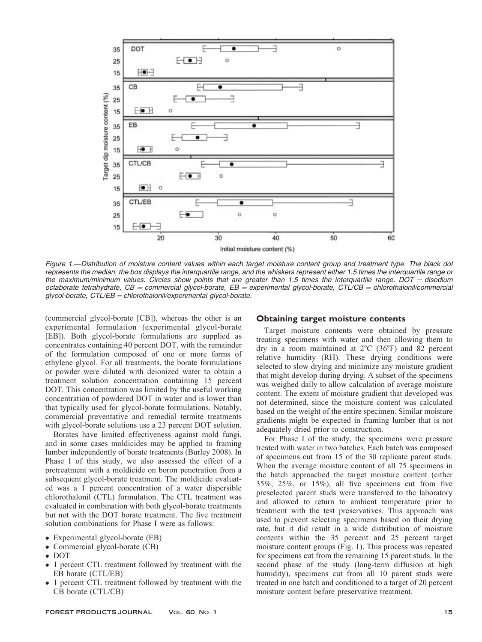

Figure 1.—Distribution of moisture content values within each target moisture content group and treatment type. The black dot represents the median, the box displays the interquartile range, and the whiskers represent either 1.5 times the interquartile range or the maximum/minimum values. Circles show points that are greater than 1.5 times the interquartile range. DOT = disodium octaborate tetrahydrate,  $CB =$  commercial glycol-borate,  $EB =$  experimental glycol-borate,  $CT\angle CB =$  chlorothalonil/commercial  $q$ lycol-borate, CTL/EB = chlorothalonil/experimental glycol-borate.

(commercial glycol-borate [CB]), whereas the other is an experimental formulation (experimental glycol-borate [EB]). Both glycol-borate formulations are supplied as concentrates containing 40 percent DOT, with the remainder of the formulation composed of one or more forms of ethylene glycol. For all treatments, the borate formulations or powder were diluted with deionized water to obtain a treatment solution concentration containing 15 percent DOT. This concentration was limited by the useful working concentration of powdered DOT in water and is lower than that typically used for glycol-borate formulations. Notably, commercial preventative and remedial termite treatments with glycol-borate solutions use a 23 percent DOT solution.

Borates have limited effectiveness against mold fungi, and in some cases moldicides may be applied to framing lumber independently of borate treatments (Burley 2008). In Phase I of this study, we also assessed the effect of a pretreatment with a moldicide on boron penetration from a subsequent glycol-borate treatment. The moldicide evaluated was a 1 percent concentration of a water dispersible chlorothalonil (CTL) formulation. The CTL treatment was evaluated in combination with both glycol-borate treatments but not with the DOT borate treatment. The five treatment solution combinations for Phase I were as follows:

- Experimental glycol-borate (EB)
- Commercial glycol-borate (CB)
- DOT
- $\bullet$  1 percent CTL treatment followed by treatment with the EB borate (CTL/EB)
- 1 percent CTL treatment followed by treatment with the CB borate (CTL/CB)

#### Obtaining target moisture contents

Target moisture contents were obtained by pressure treating specimens with water and then allowing them to dry in a room maintained at  $2^{\circ}$ C (36 $^{\circ}$ F) and 82 percent relative humidity (RH). These drying conditions were selected to slow drying and minimize any moisture gradient that might develop during drying. A subset of the specimens was weighed daily to allow calculation of average moisture content. The extent of moisture gradient that developed was not determined, since the moisture content was calculated based on the weight of the entire specimen. Similar moisture gradients might be expected in framing lumber that is not adequately dried prior to construction.

For Phase I of the study, the specimens were pressure treated with water in two batches. Each batch was composed of specimens cut from 15 of the 30 replicate parent studs. When the average moisture content of all 75 specimens in the batch approached the target moisture content (either 35%, 25%, or 15%), all five specimens cut from five preselected parent studs were transferred to the laboratory and allowed to return to ambient temperature prior to treatment with the test preservatives. This approach was used to prevent selecting specimens based on their drying rate, but it did result in a wide distribution of moisture contents within the 35 percent and 25 percent target moisture content groups (Fig. 1). This process was repeated for specimens cut from the remaining 15 parent studs. In the second phase of the study (long-term diffusion at high humidity), specimens cut from all 10 parent studs were treated in one batch and conditioned to a target of 20 percent moisture content before preservative treatment.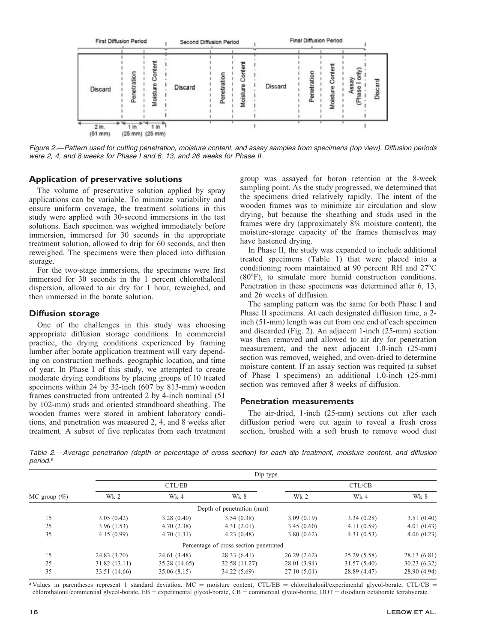

Figure 2.—Pattern used for cutting penetration, moisture content, and assay samples from specimens (top view). Diffusion periods were 2, 4, and 8 weeks for Phase I and 6, 13, and 26 weeks for Phase II.

#### Application of preservative solutions

The volume of preservative solution applied by spray applications can be variable. To minimize variability and ensure uniform coverage, the treatment solutions in this study were applied with 30-second immersions in the test solutions. Each specimen was weighed immediately before immersion, immersed for 30 seconds in the appropriate treatment solution, allowed to drip for 60 seconds, and then reweighed. The specimens were then placed into diffusion storage.

For the two-stage immersions, the specimens were first immersed for 30 seconds in the 1 percent chlorothalonil dispersion, allowed to air dry for 1 hour, reweighed, and then immersed in the borate solution.

#### Diffusion storage

One of the challenges in this study was choosing appropriate diffusion storage conditions. In commercial practice, the drying conditions experienced by framing lumber after borate application treatment will vary depending on construction methods, geographic location, and time of year. In Phase I of this study, we attempted to create moderate drying conditions by placing groups of 10 treated specimens within 24 by 32-inch (607 by 813-mm) wooden frames constructed from untreated 2 by 4-inch nominal (51 by 102-mm) studs and oriented strandboard sheathing. The wooden frames were stored in ambient laboratory conditions, and penetration was measured 2, 4, and 8 weeks after treatment. A subset of five replicates from each treatment

group was assayed for boron retention at the 8-week sampling point. As the study progressed, we determined that the specimens dried relatively rapidly. The intent of the wooden frames was to minimize air circulation and slow drying, but because the sheathing and studs used in the frames were dry (approximately 8% moisture content), the moisture-storage capacity of the frames themselves may have hastened drying.

In Phase II, the study was expanded to include additional treated specimens (Table 1) that were placed into a conditioning room maintained at 90 percent RH and 27°C (80°F), to simulate more humid construction conditions. Penetration in these specimens was determined after 6, 13, and 26 weeks of diffusion.

The sampling pattern was the same for both Phase I and Phase II specimens. At each designated diffusion time, a 2 inch (51-mm) length was cut from one end of each specimen and discarded (Fig. 2). An adjacent 1-inch (25-mm) section was then removed and allowed to air dry for penetration measurement, and the next adjacent 1.0-inch (25-mm) section was removed, weighed, and oven-dried to determine moisture content. If an assay section was required (a subset of Phase I specimens) an additional 1.0-inch (25-mm) section was removed after 8 weeks of diffusion.

# Penetration measurements

The air-dried, 1-inch (25-mm) sections cut after each diffusion period were cut again to reveal a fresh cross section, brushed with a soft brush to remove wood dust

Table 2.—Average penetration (depth or percentage of cross section) for each dip treatment, moisture content, and diffusion period.<sup>a</sup>

|                 | Dip type        |               |                                        |              |              |              |  |  |
|-----------------|-----------------|---------------|----------------------------------------|--------------|--------------|--------------|--|--|
| MC group $(\%)$ |                 | CTL/EB        |                                        | CTL/CB       |              |              |  |  |
|                 | Wk <sub>2</sub> | Wk 4          | Wk 8                                   | Wk 2         | Wk 4         | Wk 8         |  |  |
|                 |                 |               | Depth of penetration (mm)              |              |              |              |  |  |
| 15              | 3.05(0.42)      | 3.28(0.40)    | 3.54(0.38)                             | 3.09(0.19)   | 3.34(0.28)   | 3.51(0.40)   |  |  |
| 25              | 3.96(1.53)      | 4.70(2.38)    | 4.31(2.01)                             | 3.45(0.60)   | 4.11(0.59)   | 4.01(0.43)   |  |  |
| 35              | 4.15(0.99)      | 4.70(1.31)    | 4.23(0.48)                             | 3.80(0.62)   | 4.31(0.53)   | 4.06(0.23)   |  |  |
|                 |                 |               | Percentage of cross section penetrated |              |              |              |  |  |
| 15              | 24.83 (3.70)    | 24.61 (3.48)  | 28.33 (6.41)                           | 26.29(2.62)  | 25.29 (5.58) | 28.13 (6.81) |  |  |
| 25              | 31.82 (13.11)   | 35.28 (14.65) | 32.58 (11.27)                          | 28.01 (3.94) | 31.57(5.40)  | 30.23(6.32)  |  |  |
| 35              | 33.51 (14.66)   | 35.06 (8.15)  | 34.22 (5.69)                           | 27.10(5.01)  | 28.89 (4.47) | 28.90 (4.94) |  |  |

<sup>a</sup> Values in parentheses represent 1 standard deviation. MC = moisture content, CTL/EB = chlorothalonil/experimental glycol-borate, CTL/CB = chlorothalonil/commercial glycol-borate,  $EB =$  experimental glycol-borate,  $CB =$  commercial glycol-borate,  $DOT =$  disodium octaborate tetrahydrate.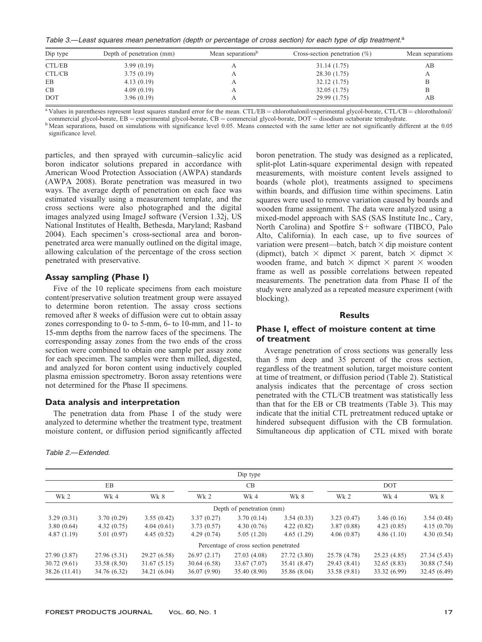Table 3.—Least squares mean penetration (depth or percentage of cross section) for each type of dip treatment.<sup>a</sup>

| Dip type   | Depth of penetration (mm) | Mean separations <sup>b</sup> | Cross-section penetration $(\%)$ | Mean separations |  |
|------------|---------------------------|-------------------------------|----------------------------------|------------------|--|
| CTL/EB     | 3.99(0.19)                |                               | 31.14 (1.75)                     | AВ               |  |
| CTL/CB     | 3.75(0.19)                |                               | 28.30 (1.75)                     | А                |  |
| EB         | 4.13(0.19)                |                               | 32.12(1.75)                      | В                |  |
| CB         | 4.09(0.19)                |                               | 32.05(1.75)                      | B                |  |
| <b>DOT</b> | 3.96(0.19)                |                               | 29.99 (1.75)                     | AВ               |  |

<sup>a</sup> Values in parentheses represent least squares standard error for the mean. CTL/EB = chlorothalonil/experimental glycol-borate, CTL/CB = chlorothalonil/<br>commercial glycol-borate, EB = experimental glycol-borate, CB = c

<sup>b</sup>Mean separations, based on simulations with significance level 0.05. Means connected with the same letter are not significantly different at the 0.05

significance level.

particles, and then sprayed with curcumin–salicylic acid boron indicator solutions prepared in accordance with American Wood Protection Association (AWPA) standards (AWPA 2008). Borate penetration was measured in two ways. The average depth of penetration on each face was estimated visually using a measurement template, and the cross sections were also photographed and the digital images analyzed using ImageJ software (Version 1.32j, US National Institutes of Health, Bethesda, Maryland; Rasband 2004). Each specimen's cross-sectional area and boronpenetrated area were manually outlined on the digital image, allowing calculation of the percentage of the cross section penetrated with preservative.

#### Assay sampling (Phase I)

Five of the 10 replicate specimens from each moisture content/preservative solution treatment group were assayed to determine boron retention. The assay cross sections removed after 8 weeks of diffusion were cut to obtain assay zones corresponding to 0- to 5-mm, 6- to 10-mm, and 11- to 15-mm depths from the narrow faces of the specimens. The corresponding assay zones from the two ends of the cross section were combined to obtain one sample per assay zone for each specimen. The samples were then milled, digested, and analyzed for boron content using inductively coupled plasma emission spectrometry. Boron assay retentions were not determined for the Phase II specimens.

#### Data analysis and interpretation

The penetration data from Phase I of the study were analyzed to determine whether the treatment type, treatment moisture content, or diffusion period significantly affected

Table 2.—Extended.

boron penetration. The study was designed as a replicated, split-plot Latin-square experimental design with repeated measurements, with moisture content levels assigned to boards (whole plot), treatments assigned to specimens within boards, and diffusion time within specimens. Latin squares were used to remove variation caused by boards and wooden frame assignment. The data were analyzed using a mixed-model approach with SAS (SAS Institute Inc., Cary, North Carolina) and Spotfire  $S<sup>+</sup>$  software (TIBCO, Palo Alto, California). In each case, up to five sources of variation were present—batch, batch  $\times$  dip moisture content (dipmct), batch  $\times$  dipmct  $\times$  parent, batch  $\times$  dipmct  $\times$ wooden frame, and batch  $\times$  dipmct  $\times$  parent  $\times$  wooden frame as well as possible correlations between repeated measurements. The penetration data from Phase II of the study were analyzed as a repeated measure experiment (with blocking).

#### **Results**

# Phase I, effect of moisture content at time of treatment

Average penetration of cross sections was generally less than 5 mm deep and 35 percent of the cross section, regardless of the treatment solution, target moisture content at time of treatment, or diffusion period (Table 2). Statistical analysis indicates that the percentage of cross section penetrated with the CTL/CB treatment was statistically less than that for the EB or CB treatments (Table 3). This may indicate that the initial CTL pretreatment reduced uptake or hindered subsequent diffusion with the CB formulation. Simultaneous dip application of CTL mixed with borate

|               |              |              |              | Dip type                               |              |              |              |              |
|---------------|--------------|--------------|--------------|----------------------------------------|--------------|--------------|--------------|--------------|
| EB            |              |              | CB           |                                        |              | <b>DOT</b>   |              |              |
| Wk 2          | Wk 4         | Wk 8         | Wk 2         | $Wk$ 4                                 | Wk 8         | Wk 2         | Wk 4         | Wk 8         |
|               |              |              |              | Depth of penetration (mm)              |              |              |              |              |
| 3.29(0.31)    | 3.70(0.29)   | 3.55(0.42)   | 3.37(0.27)   | 3.70(0.14)                             | 3.54(0.33)   | 3.23(0.47)   | 3.46(0.16)   | 3.54(0.48)   |
| 3.80(0.64)    | 4.32(0.75)   | 4.04(0.61)   | 3.73(0.57)   | 4.30(0.76)                             | 4.22(0.82)   | 3.87(0.88)   | 4.23(0.85)   | 4.15(0.70)   |
| 4.87(1.19)    | 5.01(0.97)   | 4.45(0.52)   | 4.29(0.74)   | 5.05(1.20)                             | 4.65(1.29)   | 4.06(0.87)   | 4.86(1.10)   | 4.30(0.54)   |
|               |              |              |              | Percentage of cross section penetrated |              |              |              |              |
| 27.90 (3.87)  | 27.96 (5.31) | 29.27 (6.58) | 26.97(2.17)  | 27.03(4.08)                            | 27.72 (3.80) | 25.78 (4.78) | 25.23(4.85)  | 27.34 (5.43) |
| 30.72(9.61)   | 33.58 (8.50) | 31.67(5.15)  | 30.64 (6.58) | 33.67 (7.07)                           | 35.41 (8.47) | 29.43 (8.41) | 32.65(8.83)  | 30.88 (7.54) |
| 38.26 (11.41) | 34.76 (6.32) | 34.21 (6.04) | 36.07 (9.90) | 35.40 (8.90)                           | 35.86 (8.04) | 33.58 (9.81) | 33.32 (6.99) | 32.45 (6.49) |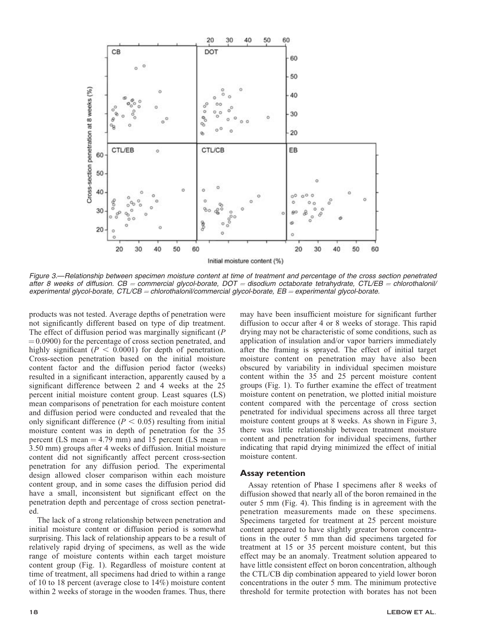

Figure 3.—Relationship between specimen moisture content at time of treatment and percentage of the cross section penetrated after 8 weeks of diffusion.  $CB =$  commercial glycol-borate,  $DOT =$  disodium octaborate tetrahydrate,  $CT \angle EB =$  chlorothalonil/ experimental glycol-borate,  $CTLCB =$ chlorothalonil/commercial glycol-borate,  $EB =$ experimental glycol-borate.

products was not tested. Average depths of penetration were not significantly different based on type of dip treatment. The effect of diffusion period was marginally significant  $(P)$  $(0.0900)$  for the percentage of cross section penetrated, and highly significant ( $P < 0.0001$ ) for depth of penetration. Cross-section penetration based on the initial moisture content factor and the diffusion period factor (weeks) resulted in a significant interaction, apparently caused by a significant difference between 2 and 4 weeks at the 25 percent initial moisture content group. Least squares (LS) mean comparisons of penetration for each moisture content and diffusion period were conducted and revealed that the only significant difference ( $P < 0.05$ ) resulting from initial moisture content was in depth of penetration for the 35 percent (LS mean  $=$  4.79 mm) and 15 percent (LS mean  $=$ 3.50 mm) groups after 4 weeks of diffusion. Initial moisture content did not significantly affect percent cross-section penetration for any diffusion period. The experimental design allowed closer comparison within each moisture content group, and in some cases the diffusion period did have a small, inconsistent but significant effect on the penetration depth and percentage of cross section penetrated.

The lack of a strong relationship between penetration and initial moisture content or diffusion period is somewhat surprising. This lack of relationship appears to be a result of relatively rapid drying of specimens, as well as the wide range of moisture contents within each target moisture content group (Fig. 1). Regardless of moisture content at time of treatment, all specimens had dried to within a range of 10 to 18 percent (average close to 14%) moisture content within 2 weeks of storage in the wooden frames. Thus, there

may have been insufficient moisture for significant further diffusion to occur after 4 or 8 weeks of storage. This rapid drying may not be characteristic of some conditions, such as application of insulation and/or vapor barriers immediately after the framing is sprayed. The effect of initial target moisture content on penetration may have also been obscured by variability in individual specimen moisture content within the 35 and 25 percent moisture content groups (Fig. 1). To further examine the effect of treatment moisture content on penetration, we plotted initial moisture content compared with the percentage of cross section penetrated for individual specimens across all three target moisture content groups at 8 weeks. As shown in Figure 3, there was little relationship between treatment moisture content and penetration for individual specimens, further indicating that rapid drying minimized the effect of initial moisture content.

# Assay retention

Assay retention of Phase I specimens after 8 weeks of diffusion showed that nearly all of the boron remained in the outer 5 mm (Fig. 4). This finding is in agreement with the penetration measurements made on these specimens. Specimens targeted for treatment at 25 percent moisture content appeared to have slightly greater boron concentrations in the outer 5 mm than did specimens targeted for treatment at 15 or 35 percent moisture content, but this effect may be an anomaly. Treatment solution appeared to have little consistent effect on boron concentration, although the CTL/CB dip combination appeared to yield lower boron concentrations in the outer 5 mm. The minimum protective threshold for termite protection with borates has not been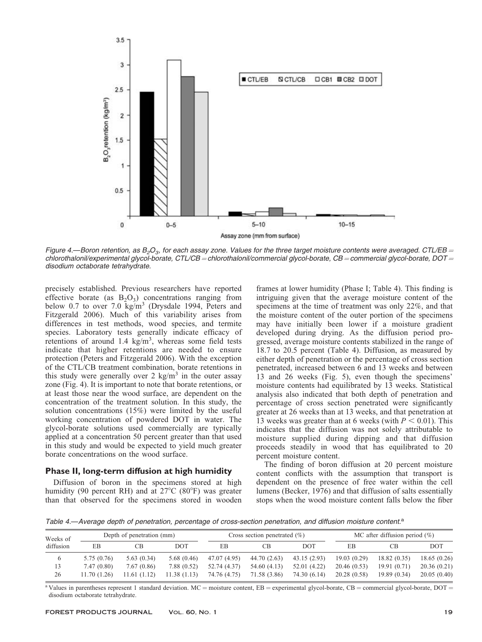

Figure 4.—Boron retention, as  $B_2O_3$ , for each assay zone. Values for the three target moisture contents were averaged. CTL/EB = chlorothalonil/experimental glycol-borate, CTL/CB = chlorothalonil/commercial glycol-borate, CB = commercial glycol-borate, DOT = disodium octaborate tetrahydrate.

precisely established. Previous researchers have reported effective borate (as  $B_2O_3$ ) concentrations ranging from below 0.7 to over 7.0 kg/m<sup>3</sup> (Drysdale 1994, Peters and Fitzgerald 2006). Much of this variability arises from differences in test methods, wood species, and termite species. Laboratory tests generally indicate efficacy of retentions of around 1.4  $\text{kg/m}^3$ , whereas some field tests indicate that higher retentions are needed to ensure protection (Peters and Fitzgerald 2006). With the exception of the CTL/CB treatment combination, borate retentions in this study were generally over 2 kg/m<sup>3</sup> in the outer assay zone (Fig. 4). It is important to note that borate retentions, or at least those near the wood surface, are dependent on the concentration of the treatment solution. In this study, the solution concentrations (15%) were limited by the useful working concentration of powdered DOT in water. The glycol-borate solutions used commercially are typically applied at a concentration 50 percent greater than that used in this study and would be expected to yield much greater borate concentrations on the wood surface.

# Phase II, long-term diffusion at high humidity

Diffusion of boron in the specimens stored at high humidity (90 percent RH) and at  $27^{\circ}$ C (80 $^{\circ}$ F) was greater than that observed for the specimens stored in wooden frames at lower humidity (Phase I; Table 4). This finding is intriguing given that the average moisture content of the specimens at the time of treatment was only 22%, and that the moisture content of the outer portion of the specimens may have initially been lower if a moisture gradient developed during drying. As the diffusion period progressed, average moisture contents stabilized in the range of 18.7 to 20.5 percent (Table 4). Diffusion, as measured by either depth of penetration or the percentage of cross section penetrated, increased between 6 and 13 weeks and between 13 and 26 weeks (Fig. 5), even though the specimens' moisture contents had equilibrated by 13 weeks. Statistical analysis also indicated that both depth of penetration and percentage of cross section penetrated were significantly greater at 26 weeks than at 13 weeks, and that penetration at 13 weeks was greater than at 6 weeks (with  $P < 0.01$ ). This indicates that the diffusion was not solely attributable to moisture supplied during dipping and that diffusion proceeds steadily in wood that has equilibrated to 20 percent moisture content.

The finding of boron diffusion at 20 percent moisture content conflicts with the assumption that transport is dependent on the presence of free water within the cell lumens (Becker, 1976) and that diffusion of salts essentially stops when the wood moisture content falls below the fiber

Table 4.—Average depth of penetration, percentage of cross-section penetration, and diffusion moisture content.<sup>a</sup>

| Weeks of<br>diffusion | Depth of penetration (mm) |              |            | Cross section penetrated $(\% )$ |              |              | MC after diffusion period $(\%)$ |             |             |
|-----------------------|---------------------------|--------------|------------|----------------------------------|--------------|--------------|----------------------------------|-------------|-------------|
|                       | ЕB                        | CВ           | <b>DOT</b> | ΕB                               | СB           | <b>DOT</b>   | ЕB                               | СB          | DOT         |
| $\circ$               | 5.75(0.76)                | 5.63(0.34)   | 5.68(0.46) | 47.07 (4.95)                     | 44.70 (2.63) | 43.15(2.93)  | 19.03(0.29)                      | 18.82(0.35) | 18.65(0.26) |
| 13                    | 7.47 (0.80)               | 7.67(0.86)   | 7.88(0.52) | 52.74 (4.37)                     | 54.60 (4.13) | 52.01 (4.22) | 20.46(0.53)                      | 19.91(0.71) | 20.36(0.21) |
| 26                    | 11.70(1.26)               | 11.61 (1.12) | 1.38(1.13) | 74.76 (4.75)                     | 71.58 (3.86) | 74.30 (6.14) | 20.28(0.58)                      | 19.89(0.34) | 20.05(0.40) |

<sup>a</sup> Values in parentheses represent 1 standard deviation. MC = moisture content, EB = experimental glycol-borate, CB = commercial glycol-borate, DOT = disodium octaborate tetrahydrate.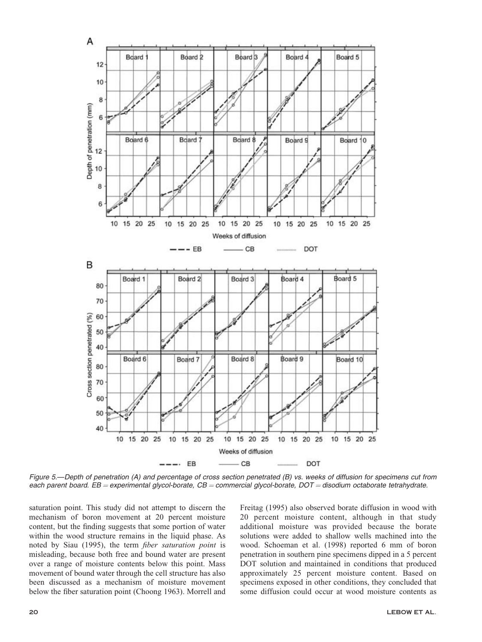

Figure 5.—Depth of penetration (A) and percentage of cross section penetrated (B) vs. weeks of diffusion for specimens cut from each parent board. EB = experimental glycol-borate,  $CB =$  commercial glycol-borate,  $DOT =$  disodium octaborate tetrahydrate.

saturation point. This study did not attempt to discern the mechanism of boron movement at 20 percent moisture content, but the finding suggests that some portion of water within the wood structure remains in the liquid phase. As noted by Siau (1995), the term fiber saturation point is misleading, because both free and bound water are present over a range of moisture contents below this point. Mass movement of bound water through the cell structure has also been discussed as a mechanism of moisture movement below the fiber saturation point (Choong 1963). Morrell and Freitag (1995) also observed borate diffusion in wood with 20 percent moisture content, although in that study additional moisture was provided because the borate solutions were added to shallow wells machined into the wood. Schoeman et al. (1998) reported 6 mm of boron penetration in southern pine specimens dipped in a 5 percent DOT solution and maintained in conditions that produced approximately 25 percent moisture content. Based on specimens exposed in other conditions, they concluded that some diffusion could occur at wood moisture contents as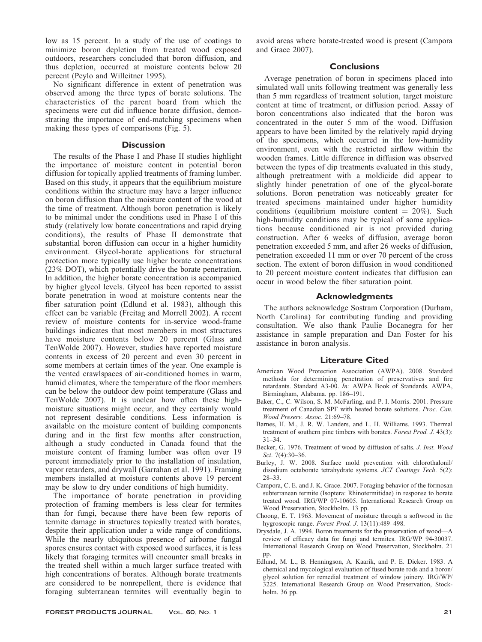low as 15 percent. In a study of the use of coatings to minimize boron depletion from treated wood exposed outdoors, researchers concluded that boron diffusion, and thus depletion, occurred at moisture contents below 20 percent (Peylo and Willeitner 1995).

No significant difference in extent of penetration was observed among the three types of borate solutions. The characteristics of the parent board from which the specimens were cut did influence borate diffusion, demonstrating the importance of end-matching specimens when making these types of comparisons (Fig. 5).

#### **Discussion**

The results of the Phase I and Phase II studies highlight the importance of moisture content in potential boron diffusion for topically applied treatments of framing lumber. Based on this study, it appears that the equilibrium moisture conditions within the structure may have a larger influence on boron diffusion than the moisture content of the wood at the time of treatment. Although boron penetration is likely to be minimal under the conditions used in Phase I of this study (relatively low borate concentrations and rapid drying conditions), the results of Phase II demonstrate that substantial boron diffusion can occur in a higher humidity environment. Glycol-borate applications for structural protection more typically use higher borate concentrations (23% DOT), which potentially drive the borate penetration. In addition, the higher borate concentration is accompanied by higher glycol levels. Glycol has been reported to assist borate penetration in wood at moisture contents near the fiber saturation point (Edlund et al. 1983), although this effect can be variable (Freitag and Morrell 2002). A recent review of moisture contents for in-service wood-frame buildings indicates that most members in most structures have moisture contents below 20 percent (Glass and TenWolde 2007). However, studies have reported moisture contents in excess of 20 percent and even 30 percent in some members at certain times of the year. One example is the vented crawlspaces of air-conditioned homes in warm, humid climates, where the temperature of the floor members can be below the outdoor dew point temperature (Glass and TenWolde 2007). It is unclear how often these highmoisture situations might occur, and they certainly would not represent desirable conditions. Less information is available on the moisture content of building components during and in the first few months after construction, although a study conducted in Canada found that the moisture content of framing lumber was often over 19 percent immediately prior to the installation of insulation, vapor retarders, and drywall (Garrahan et al. 1991). Framing members installed at moisture contents above 19 percent may be slow to dry under conditions of high humidity.

The importance of borate penetration in providing protection of framing members is less clear for termites than for fungi, because there have been few reports of termite damage in structures topically treated with borates, despite their application under a wide range of conditions. While the nearly ubiquitous presence of airborne fungal spores ensures contact with exposed wood surfaces, it is less likely that foraging termites will encounter small breaks in the treated shell within a much larger surface treated with high concentrations of borates. Although borate treatments are considered to be nonrepellent, there is evidence that foraging subterranean termites will eventually begin to

avoid areas where borate-treated wood is present (Campora and Grace 2007).

# **Conclusions**

Average penetration of boron in specimens placed into simulated wall units following treatment was generally less than 5 mm regardless of treatment solution, target moisture content at time of treatment, or diffusion period. Assay of boron concentrations also indicated that the boron was concentrated in the outer 5 mm of the wood. Diffusion appears to have been limited by the relatively rapid drying of the specimens, which occurred in the low-humidity environment, even with the restricted airflow within the wooden frames. Little difference in diffusion was observed between the types of dip treatments evaluated in this study, although pretreatment with a moldicide did appear to slightly hinder penetration of one of the glycol-borate solutions. Boron penetration was noticeably greater for treated specimens maintained under higher humidity conditions (equilibrium moisture content  $= 20\%$ ). Such high-humidity conditions may be typical of some applications because conditioned air is not provided during construction. After 6 weeks of diffusion, average boron penetration exceeded 5 mm, and after 26 weeks of diffusion, penetration exceeded 11 mm or over 70 percent of the cross section. The extent of boron diffusion in wood conditioned to 20 percent moisture content indicates that diffusion can occur in wood below the fiber saturation point.

# Acknowledgments

The authors acknowledge Sostram Corporation (Durham, North Carolina) for contributing funding and providing consultation. We also thank Paulie Bocanegra for her assistance in sample preparation and Dan Foster for his assistance in boron analysis.

# Literature Cited

- American Wood Protection Association (AWPA). 2008. Standard methods for determining penetration of preservatives and fire retardants. Standard A3-00. In: AWPA Book of Standards. AWPA, Birmingham, Alabama. pp. 186–191.
- Baker, C., C. Wilson, S. M. McFarling, and P. I. Morris. 2001. Pressure treatment of Canadian SPF with heated borate solutions. Proc. Can. Wood Preserv. Assoc. 21:69–78.
- Barnes, H. M., J. R. W. Landers, and L. H. Williams. 1993. Thermal treatment of southern pine timbers with borates. Forest Prod. J. 43(3): 31–34.
- Becker, G. 1976. Treatment of wood by diffusion of salts. J. Inst. Wood Sci. 7(4):30–36.
- Burley, J. W. 2008. Surface mold prevention with chlorothalonil/ disodium octaborate tetrahydrate systems. JCT Coatings Tech. 5(2): 28–33.
- Campora, C. E. and J. K. Grace. 2007. Foraging behavior of the formosan subterranean termite (Isoptera: Rhinotermitidae) in response to borate treated wood. IRG/WP 07-10605. International Research Group on Wood Preservation, Stockholm. 13 pp.
- Choong, E. T. 1963. Movement of moisture through a softwood in the hygroscopic range. Forest Prod. J. 13(11):489–498.
- Drysdale, J. A. 1994. Boron treatments for the preservation of wood—A review of efficacy data for fungi and termites. IRG/WP 94-30037. International Research Group on Wood Preservation, Stockholm. 21 pp.
- Edlund, M. L., B. Henningson, A. Kaarik, and P. E. Dicker. 1983. A chemical and mycological evaluation of fused borate rods and a boron/ glycol solution for remedial treatment of window joinery. IRG/WP/ 3225. International Research Group on Wood Preservation, Stockholm. 36 pp.